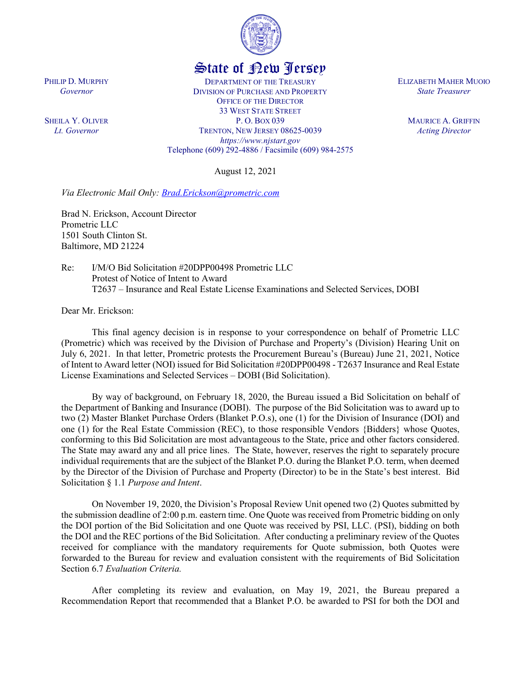

## State of New Jersey

DEPARTMENT OF THE TREASURY DIVISION OF PURCHASE AND PROPERTY OFFICE OF THE DIRECTOR 33 WEST STATE STREET P. O. BOX 039 TRENTON, NEW JERSEY 08625-0039 *https://www.njstart.gov* Telephone (609) 292-4886 / Facsimile (609) 984-2575

August 12, 2021

*Via Electronic Mail Only: [Brad.Erickson@prometric.com](mailto:Brad.Erickson@prometric.com)*

Brad N. Erickson, Account Director Prometric LLC 1501 South Clinton St. Baltimore, MD 21224

Re: I/M/O Bid Solicitation #20DPP00498 Prometric LLC Protest of Notice of Intent to Award T2637 – Insurance and Real Estate License Examinations and Selected Services, DOBI

Dear Mr. Erickson:

PHILIP D. MURPHY *Governor*

SHEILA Y. OLIVER *Lt. Governor*

> This final agency decision is in response to your correspondence on behalf of Prometric LLC (Prometric) which was received by the Division of Purchase and Property's (Division) Hearing Unit on July 6, 2021. In that letter, Prometric protests the Procurement Bureau's (Bureau) June 21, 2021, Notice of Intent to Award letter (NOI) issued for Bid Solicitation #20DPP00498 - T2637 Insurance and Real Estate License Examinations and Selected Services – DOBI (Bid Solicitation).

> By way of background, on February 18, 2020, the Bureau issued a Bid Solicitation on behalf of the Department of Banking and Insurance (DOBI). The purpose of the Bid Solicitation was to award up to two (2) Master Blanket Purchase Orders (Blanket P.O.s), one (1) for the Division of Insurance (DOI) and one (1) for the Real Estate Commission (REC), to those responsible Vendors {Bidders} whose Quotes, conforming to this Bid Solicitation are most advantageous to the State, price and other factors considered. The State may award any and all price lines. The State, however, reserves the right to separately procure individual requirements that are the subject of the Blanket P.O. during the Blanket P.O. term, when deemed by the Director of the Division of Purchase and Property (Director) to be in the State's best interest. Bid Solicitation § 1.1 *Purpose and Intent*.

> On November 19, 2020, the Division's Proposal Review Unit opened two (2) Quotes submitted by the submission deadline of 2:00 p.m. eastern time. One Quote was received from Prometric bidding on only the DOI portion of the Bid Solicitation and one Quote was received by PSI, LLC. (PSI), bidding on both the DOI and the REC portions of the Bid Solicitation. After conducting a preliminary review of the Quotes received for compliance with the mandatory requirements for Quote submission, both Quotes were forwarded to the Bureau for review and evaluation consistent with the requirements of Bid Solicitation Section 6.7 *Evaluation Criteria.*

> After completing its review and evaluation, on May 19, 2021, the Bureau prepared a Recommendation Report that recommended that a Blanket P.O. be awarded to PSI for both the DOI and

ELIZABETH MAHER MUOIO *State Treasurer*

> MAURICE A. GRIFFIN *Acting Director*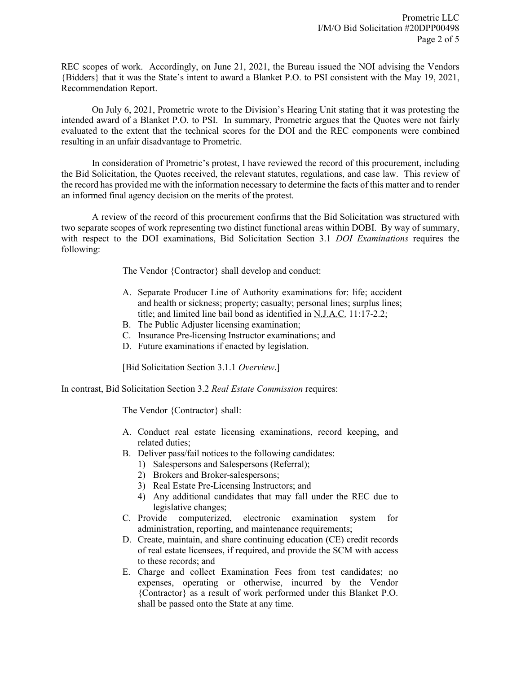REC scopes of work. Accordingly, on June 21, 2021, the Bureau issued the NOI advising the Vendors {Bidders} that it was the State's intent to award a Blanket P.O. to PSI consistent with the May 19, 2021, Recommendation Report.

On July 6, 2021, Prometric wrote to the Division's Hearing Unit stating that it was protesting the intended award of a Blanket P.O. to PSI. In summary, Prometric argues that the Quotes were not fairly evaluated to the extent that the technical scores for the DOI and the REC components were combined resulting in an unfair disadvantage to Prometric.

In consideration of Prometric's protest, I have reviewed the record of this procurement, including the Bid Solicitation, the Quotes received, the relevant statutes, regulations, and case law. This review of the record has provided me with the information necessary to determine the facts of this matter and to render an informed final agency decision on the merits of the protest.

A review of the record of this procurement confirms that the Bid Solicitation was structured with two separate scopes of work representing two distinct functional areas within DOBI. By way of summary, with respect to the DOI examinations, Bid Solicitation Section 3.1 *DOI Examinations* requires the following:

The Vendor {Contractor} shall develop and conduct:

- A. Separate Producer Line of Authority examinations for: life; accident and health or sickness; property; casualty; personal lines; surplus lines; title; and limited line bail bond as identified in N.J.A.C. 11:17-2.2;
- B. The Public Adjuster licensing examination;
- C. Insurance Pre-licensing Instructor examinations; and
- D. Future examinations if enacted by legislation.

[Bid Solicitation Section 3.1.1 *Overview*.]

In contrast, Bid Solicitation Section 3.2 *Real Estate Commission* requires:

The Vendor {Contractor} shall:

- A. Conduct real estate licensing examinations, record keeping, and related duties;
- B. Deliver pass/fail notices to the following candidates:
	- 1) Salespersons and Salespersons (Referral);
	- 2) Brokers and Broker-salespersons;
	- 3) Real Estate Pre-Licensing Instructors; and
	- 4) Any additional candidates that may fall under the REC due to legislative changes;
- C. Provide computerized, electronic examination system for administration, reporting, and maintenance requirements;
- D. Create, maintain, and share continuing education (CE) credit records of real estate licensees, if required, and provide the SCM with access to these records; and
- E. Charge and collect Examination Fees from test candidates; no expenses, operating or otherwise, incurred by the Vendor {Contractor} as a result of work performed under this Blanket P.O. shall be passed onto the State at any time.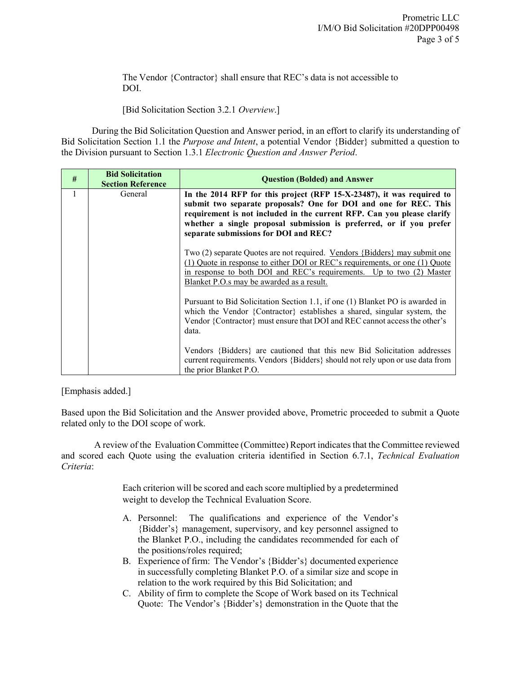The Vendor {Contractor} shall ensure that REC's data is not accessible to DOI.

[Bid Solicitation Section 3.2.1 *Overview*.]

During the Bid Solicitation Question and Answer period, in an effort to clarify its understanding of Bid Solicitation Section 1.1 the *Purpose and Intent*, a potential Vendor {Bidder} submitted a question to the Division pursuant to Section 1.3.1 *Electronic Question and Answer Period*.

| # | <b>Bid Solicitation</b><br><b>Section Reference</b> | <b>Question (Bolded) and Answer</b>                                                                                                                                                                                                                                                                                                 |  |  |
|---|-----------------------------------------------------|-------------------------------------------------------------------------------------------------------------------------------------------------------------------------------------------------------------------------------------------------------------------------------------------------------------------------------------|--|--|
| 1 | General                                             | In the 2014 RFP for this project (RFP 15-X-23487), it was required to<br>submit two separate proposals? One for DOI and one for REC. This<br>requirement is not included in the current RFP. Can you please clarify<br>whether a single proposal submission is preferred, or if you prefer<br>separate submissions for DOI and REC? |  |  |
|   |                                                     | Two (2) separate Quotes are not required. Vendors {Bidders} may submit one<br>(1) Quote in response to either DOI or REC's requirements, or one (1) Quote<br>in response to both DOI and REC's requirements. Up to two (2) Master<br>Blanket P.O.s may be awarded as a result.                                                      |  |  |
|   |                                                     | Pursuant to Bid Solicitation Section 1.1, if one (1) Blanket PO is awarded in<br>which the Vendor {Contractor} establishes a shared, singular system, the<br>Vendor {Contractor} must ensure that DOI and REC cannot access the other's<br>data.                                                                                    |  |  |
|   |                                                     | Vendors {Bidders} are cautioned that this new Bid Solicitation addresses<br>current requirements. Vendors {Bidders} should not rely upon or use data from<br>the prior Blanket P.O.                                                                                                                                                 |  |  |

## [Emphasis added.]

Based upon the Bid Solicitation and the Answer provided above, Prometric proceeded to submit a Quote related only to the DOI scope of work.

A review of the Evaluation Committee (Committee) Report indicates that the Committee reviewed and scored each Quote using the evaluation criteria identified in Section 6.7.1, *Technical Evaluation Criteria*:

> Each criterion will be scored and each score multiplied by a predetermined weight to develop the Technical Evaluation Score.

- A. Personnel: The qualifications and experience of the Vendor's {Bidder's} management, supervisory, and key personnel assigned to the Blanket P.O., including the candidates recommended for each of the positions/roles required;
- B. Experience of firm: The Vendor's {Bidder's} documented experience in successfully completing Blanket P.O. of a similar size and scope in relation to the work required by this Bid Solicitation; and
- C. Ability of firm to complete the Scope of Work based on its Technical Quote: The Vendor's {Bidder's} demonstration in the Quote that the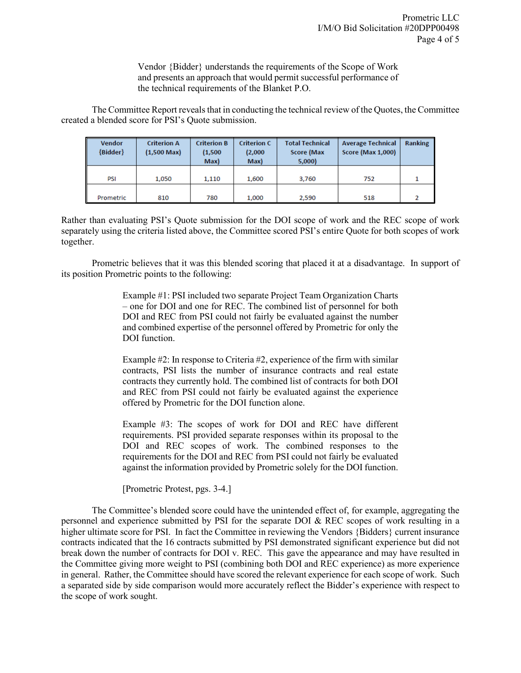Vendor {Bidder} understands the requirements of the Scope of Work and presents an approach that would permit successful performance of the technical requirements of the Blanket P.O.

The Committee Report reveals that in conducting the technical review of the Quotes, the Committee created a blended score for PSI's Quote submission.

| <b>Vendor</b><br>${Bidden}$ | <b>Criterion A</b><br>$(1,500 \text{ Max})$ | <b>Criterion B</b><br>(1,500)<br>Max) | <b>Criterion C</b><br>(2,000)<br>Max) | <b>Total Technical</b><br><b>Score (Max</b><br>5,000 | <b>Average Technical</b><br><b>Score (Max 1,000)</b> | Ranking |
|-----------------------------|---------------------------------------------|---------------------------------------|---------------------------------------|------------------------------------------------------|------------------------------------------------------|---------|
| PSI                         | 1,050                                       | 1,110                                 | 1,600                                 | 3,760                                                | 752                                                  |         |
| Prometric                   | 810                                         | 780                                   | 1,000                                 | 2,590                                                | 518                                                  |         |

Rather than evaluating PSI's Quote submission for the DOI scope of work and the REC scope of work separately using the criteria listed above, the Committee scored PSI's entire Quote for both scopes of work together.

Prometric believes that it was this blended scoring that placed it at a disadvantage. In support of its position Prometric points to the following:

> Example #1: PSI included two separate Project Team Organization Charts – one for DOI and one for REC. The combined list of personnel for both DOI and REC from PSI could not fairly be evaluated against the number and combined expertise of the personnel offered by Prometric for only the DOI function.

> Example #2: In response to Criteria #2, experience of the firm with similar contracts, PSI lists the number of insurance contracts and real estate contracts they currently hold. The combined list of contracts for both DOI and REC from PSI could not fairly be evaluated against the experience offered by Prometric for the DOI function alone.

> Example #3: The scopes of work for DOI and REC have different requirements. PSI provided separate responses within its proposal to the DOI and REC scopes of work. The combined responses to the requirements for the DOI and REC from PSI could not fairly be evaluated against the information provided by Prometric solely for the DOI function.

[Prometric Protest, pgs. 3-4.]

The Committee's blended score could have the unintended effect of, for example, aggregating the personnel and experience submitted by PSI for the separate DOI & REC scopes of work resulting in a higher ultimate score for PSI. In fact the Committee in reviewing the Vendors {Bidders} current insurance contracts indicated that the 16 contracts submitted by PSI demonstrated significant experience but did not break down the number of contracts for DOI v. REC. This gave the appearance and may have resulted in the Committee giving more weight to PSI (combining both DOI and REC experience) as more experience in general. Rather, the Committee should have scored the relevant experience for each scope of work. Such a separated side by side comparison would more accurately reflect the Bidder's experience with respect to the scope of work sought.